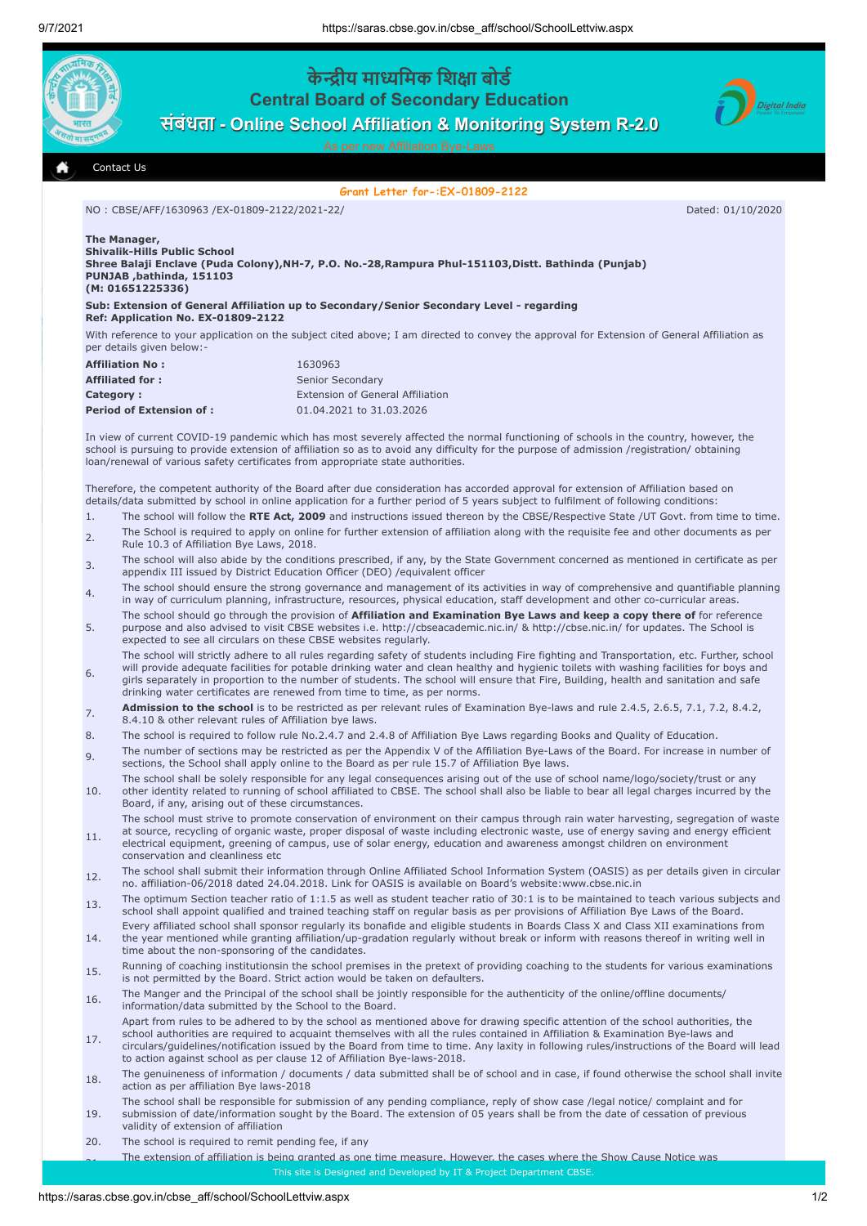

## **Grant Letter for-:EX-01809-2122**

NO : CBSE/AFF/1630963 /EX-01809-2122/2021-22/ Dated: 01/10/2020

| The Manager,                 |  |
|------------------------------|--|
| Shivalik-Hills Public School |  |

**Shree Balaji Enclave (Puda Colony),NH-7, P.O. No.-28,Rampura Phul-151103,Distt. Bathinda (Punjab) PUNJAB ,bathinda, 151103 (M: 01651225336)** 

**Sub: Extension of General Affiliation up to Secondary/Senior Secondary Level - regarding Ref: Application No. EX-01809-2122**

With reference to your application on the subject cited above; I am directed to convey the approval for Extension of General Affiliation as per details given below:

| <b>Affiliation No:</b>         | 1630963                                 |
|--------------------------------|-----------------------------------------|
| <b>Affiliated for:</b>         | Senior Secondary                        |
| Category:                      | <b>Extension of General Affiliation</b> |
| <b>Period of Extension of:</b> | 01.04.2021 to 31.03.2026                |

In view of current COVID-19 pandemic which has most severely affected the normal functioning of schools in the country, however, the school is pursuing to provide extension of affiliation so as to avoid any difficulty for the purpose of admission /registration/ obtaining loan/renewal of various safety certificates from appropriate state authorities.

Therefore, the competent authority of the Board after due consideration has accorded approval for extension of Affiliation based on details/data submitted by school in online application for a further period of 5 years subject to fulfilment of following conditions:

- 1. The school will follow the **RTE Act, 2009** and instructions issued thereon by the CBSE/Respective State /UT Govt. from time to time.
- $2<sub>2</sub>$  The School is required to apply on online for further extension of affiliation along with the requisite fee and other documents as per Rule 10.3 of Affiliation Bye Laws, 2018.
- 3. The school will also abide by the conditions prescribed, if any, by the State Government concerned as mentioned in certificate as per appendix III issued by District Education Officer (DEO) /equivalent officer
- 4. The school should ensure the strong governance and management of its activities in way of comprehensive and quantifiable planning in way of curriculum planning, infrastructure, resources, physical education, staff development and other co-curricular areas.
- 5. The school should go through the provision of **Affiliation and Examination Bye Laws and keep a copy there of** for reference purpose and also advised to visit CBSE websites i.e. http://cbseacademic.nic.in/ & http://cbse.nic.in/ for updates. The School is expected to see all circulars on these CBSE websites regularly.
- 6. The school will strictly adhere to all rules regarding safety of students including Fire fighting and Transportation, etc. Further, school will provide adequate facilities for potable drinking water and clean healthy and hygienic toilets with washing facilities for boys and girls separately in proportion to the number of students. The school will ensure that Fire, Building, health and sanitation and safe drinking water certificates are renewed from time to time, as per norms.
- **Admission to the school** is to be restricted as per relevant rules of Examination Bye-laws and rule 2.4.5, 2.6.5, 7.1, 7.2, 8.4.2, 8.4.10 & other relevant rules of Affiliation bye laws.
- 8. The school is required to follow rule No.2.4.7 and 2.4.8 of Affiliation Bye Laws regarding Books and Quality of Education.
- 9. The number of sections may be restricted as per the Appendix V of the Affiliation Bye-Laws of the Board. For increase in number of sections, the School shall apply online to the Board as per rule 15.7 of Affiliation Bye laws.
- 10. The school shall be solely responsible for any legal consequences arising out of the use of school name/logo/society/trust or any other identity related to running of school affiliated to CBSE. The school shall also be liable to bear all legal charges incurred by the Board, if any, arising out of these circumstances.
- 11. The school must strive to promote conservation of environment on their campus through rain water harvesting, segregation of waste at source, recycling of organic waste, proper disposal of waste including electronic waste, use of energy saving and energy efficient electrical equipment, greening of campus, use of solar energy, education and awareness amongst children on environment
- conservation and cleanliness etc 12. The school shall submit their information through Online Affiliated School Information System (OASIS) as per details given in circular no. affiliation-06/2018 dated 24.04.2018. Link for OASIS is available on Board's website:www.cbse.nic.in
- 13. The optimum Section teacher ratio of 1:1.5 as well as student teacher ratio of 30:1 is to be maintained to teach various subjects and school shall appoint qualified and trained teaching staff on regular basis as per provisions of Affiliation Bye Laws of the Board.
- 14. Every affiliated school shall sponsor regularly its bonafide and eligible students in Boards Class X and Class XII examinations from the year mentioned while granting affiliation/up-gradation regularly without break or inform with reasons thereof in writing well in time about the non-sponsoring of the candidates.
- 15. Running of coaching institutionsin the school premises in the pretext of providing coaching to the students for various examinations is not permitted by the Board. Strict action would be taken on defaulters
- 16. The Manger and the Principal of the school shall be jointly responsible for the authenticity of the online/offline documents/ information/data submitted by the School to the Board.
- 17. Apart from rules to be adhered to by the school as mentioned above for drawing specific attention of the school authorities, the school authorities are required to acquaint themselves with all the rules contained in Affiliation & Examination Bye-laws and circulars/guidelines/notification issued by the Board from time to time. Any laxity in following rules/instructions of the Board will lead
- to action against school as per clause 12 of Affiliation Bye-laws-2018. 18. The genuineness of information / documents / data submitted shall be of school and in case, if found otherwise the school shall invite action as per affiliation Bye laws-2018
- 19. The school shall be responsible for submission of any pending compliance, reply of show case /legal notice/ complaint and for submission of date/information sought by the Board. The extension of 05 years shall be from the date of cessation of previous validity of extension of affiliation
- 20. The school is required to remit pending fee, if any

.<br>2011. The stendard of affiliation is being granted as one time measure. However, the cases where the Show Cause Notice was communicated or grievance / legal cases are pending against the Board will take appropriate decision in this matter in this matter in this matter in this matter in this matter is not all the Board will take a structure in